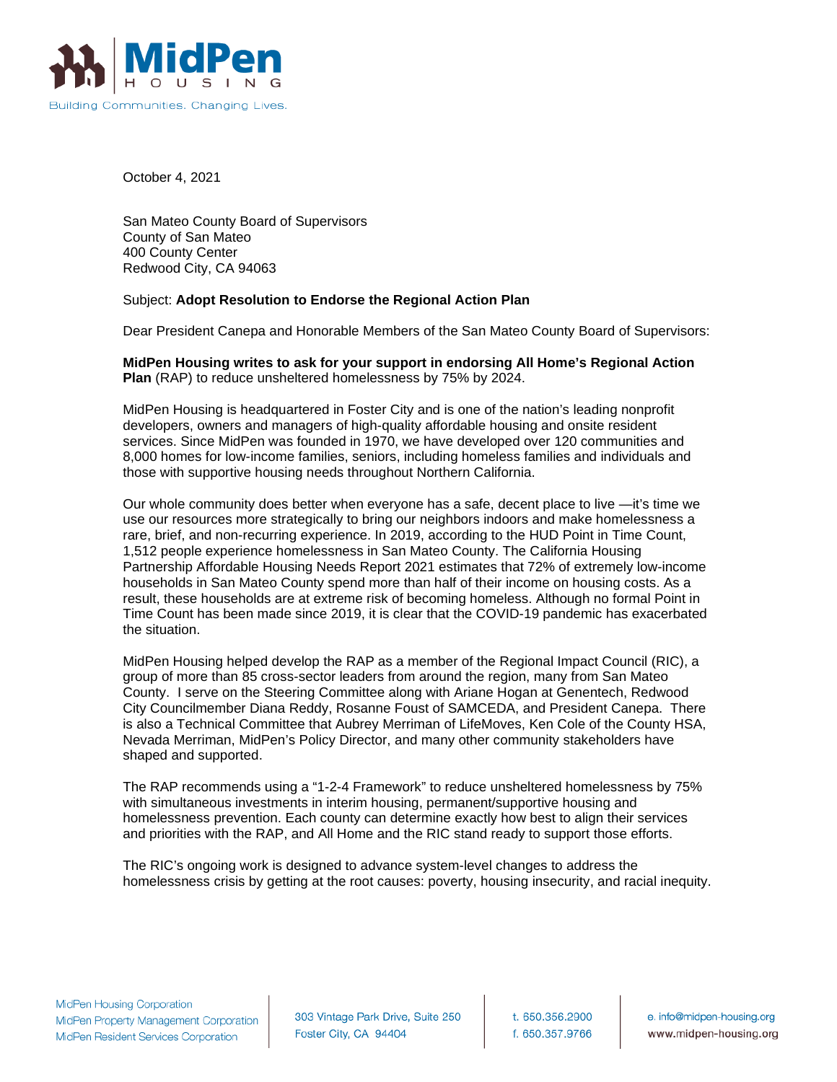

October 4, 2021

San Mateo County Board of Supervisors County of San Mateo 400 County Center Redwood City, CA 94063

## Subject: **Adopt Resolution to Endorse the Regional Action Plan**

Dear President Canepa and Honorable Members of the San Mateo County Board of Supervisors:

## **MidPen Housing writes to ask for your support in endorsing All Home's Regional Action Plan** (RAP) to reduce unsheltered homelessness by 75% by 2024.

MidPen Housing is headquartered in Foster City and is one of the nation's leading nonprofit developers, owners and managers of high-quality affordable housing and onsite resident services. Since MidPen was founded in 1970, we have developed over 120 communities and 8,000 homes for low-income families, seniors, including homeless families and individuals and those with supportive housing needs throughout Northern California.

Our whole community does better when everyone has a safe, decent place to live —it's time we use our resources more strategically to bring our neighbors indoors and make homelessness a rare, brief, and non-recurring experience. In 2019, according to the HUD Point in Time Count, 1,512 people experience homelessness in San Mateo County. The California Housing Partnership Affordable Housing Needs Report 2021 estimates that 72% of extremely low-income households in San Mateo County spend more than half of their income on housing costs. As a result, these households are at extreme risk of becoming homeless. Although no formal Point in Time Count has been made since 2019, it is clear that the COVID-19 pandemic has exacerbated the situation.

MidPen Housing helped develop the RAP as a member of the Regional Impact Council (RIC), a group of more than 85 cross-sector leaders from around the region, many from San Mateo County. I serve on the Steering Committee along with Ariane Hogan at Genentech, Redwood City Councilmember Diana Reddy, Rosanne Foust of SAMCEDA, and President Canepa. There is also a Technical Committee that Aubrey Merriman of LifeMoves, Ken Cole of the County HSA, Nevada Merriman, MidPen's Policy Director, and many other community stakeholders have shaped and supported.

The RAP recommends using a "1-2-4 Framework" to reduce unsheltered homelessness by 75% with simultaneous investments in interim housing, permanent/supportive housing and homelessness prevention. Each county can determine exactly how best to align their services and priorities with the RAP, and All Home and the RIC stand ready to support those efforts.

The RIC's ongoing work is designed to advance system-level changes to address the homelessness crisis by getting at the root causes: poverty, housing insecurity, and racial inequity.

303 Vintage Park Drive, Suite 250 Foster City, CA 94404

t. 650.356.2900 f. 650.357.9766

e. info@midpen-housing.org www.midpen-housing.org